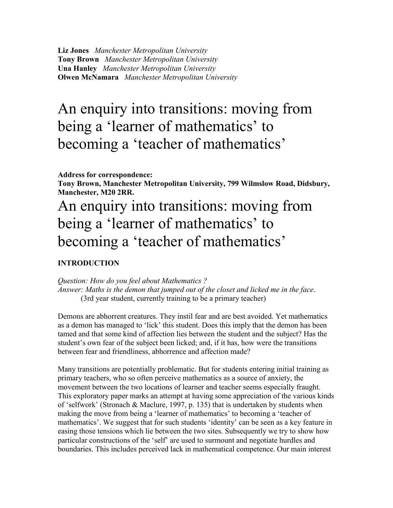**Liz Jones** *Manchester Metropolitan University* **Tony Brown** *Manchester Metropolitan University* **Una Hanley** *Manchester Metropolitan University* **Olwen McNamara** *Manchester Metropolitan University*

# An enquiry into transitions: moving from being a 'learner of mathematics' to becoming a 'teacher of mathematics'

**Address for correspondence:**

**Tony Brown, Manchester Metropolitan University, 799 Wilmslow Road, Didsbury, Manchester, M20 2RR.**

# An enquiry into transitions: moving from being a 'learner of mathematics' to becoming a 'teacher of mathematics'

## **INTRODUCTION**

*Question: How do you feel about Mathematics ? Answer: Maths is the demon that jumped out of the closet and licked me in the face*. (3rd year student, currently training to be a primary teacher)

Demons are abhorrent creatures. They instil fear and are best avoided. Yet mathematics as a demon has managed to 'lick' this student. Does this imply that the demon has been tamed and that some kind of affection lies between the student and the subject? Has the student's own fear of the subject been licked; and, if it has, how were the transitions between fear and friendliness, abhorrence and affection made?

Many transitions are potentially problematic. But for students entering initial training as primary teachers, who so often perceive mathematics as a source of anxiety, the movement between the two locations of learner and teacher seems especially fraught. This exploratory paper marks an attempt at having some appreciation of the various kinds of 'selfwork' (Stronach & Maclure, 1997, p. 135) that is undertaken by students when making the move from being a 'learner of mathematics' to becoming a 'teacher of mathematics'. We suggest that for such students 'identity' can be seen as a key feature in easing those tensions which lie between the two sites. Subsequently we try to show how particular constructions of the 'self' are used to surmount and negotiate hurdles and boundaries. This includes perceived lack in mathematical competence. Our main interest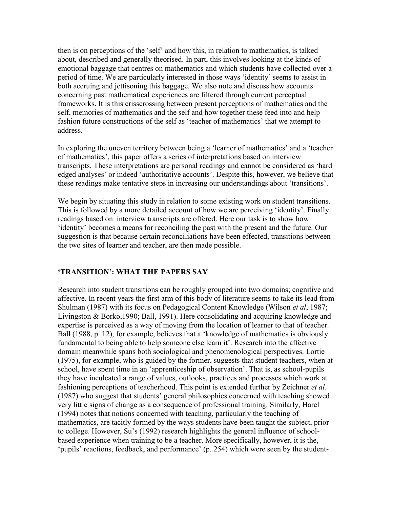then is on perceptions of the 'self' and how this, in relation to mathematics, is talked about, described and generally theorised. In part, this involves looking at the kinds of emotional baggage that centres on mathematics and which students have collected over a period of time. We are particularly interested in those ways 'identity' seems to assist in both accruing and jettisoning this baggage. We also note and discuss how accounts concerning past mathematical experiences are filtered through current perceptual frameworks. It is this crisscrossing between present perceptions of mathematics and the self, memories of mathematics and the self and how together these feed into and help fashion future constructions of the self as 'teacher of mathematics' that we attempt to address.

In exploring the uneven territory between being a 'learner of mathematics' and a 'teacher of mathematics', this paper offers a series of interpretations based on interview transcripts. These interpretations are personal readings and cannot be considered as 'hard edged analyses' or indeed 'authoritative accounts'. Despite this, however, we believe that these readings make tentative steps in increasing our understandings about 'transitions'.

We begin by situating this study in relation to some existing work on student transitions. This is followed by a more detailed account of how we are perceiving 'identity'. Finally readings based on interview transcripts are offered. Here our task is to show how 'identity' becomes a means for reconciling the past with the present and the future. Our suggestion is that because certain reconciliations have been effected, transitions between the two sites of learner and teacher, are then made possible.

## **'TRANSITION': WHAT THE PAPERS SAY**

Research into student transitions can be roughly grouped into two domains; cognitive and affective. In recent years the first arm of this body of literature seems to take its lead from Shulman (1987) with its focus on Pedagogical Content Knowledge (Wilson *et al*, 1987; Livingston & Borko,1990; Ball, 1991). Here consolidating and acquiring knowledge and expertise is perceived as a way of moving from the location of learner to that of teacher. Ball (1988, p. 12), for example, believes that a 'knowledge of mathematics is obviously fundamental to being able to help someone else learn it'. Research into the affective domain meanwhile spans both sociological and phenomenological perspectives. Lortie (1975), for example, who is guided by the former, suggests that student teachers, when at school, have spent time in an 'apprenticeship of observation'. That is, as school-pupils they have inculcated a range of values, outlooks, practices and processes which work at fashioning perceptions of teacherhood. This point is extended further by Zeichner *et al*. (1987) who suggest that students' general philosophies concerned with teaching showed very little signs of change as a consequence of professional training. Similarly, Harel (1994) notes that notions concerned with teaching, particularly the teaching of mathematics, are tacitly formed by the ways students have been taught the subject, prior to college. However, Su's (1992) research highlights the general influence of schoolbased experience when training to be a teacher. More specifically, however, it is the, 'pupils' reactions, feedback, and performance' (p. 254) which were seen by the student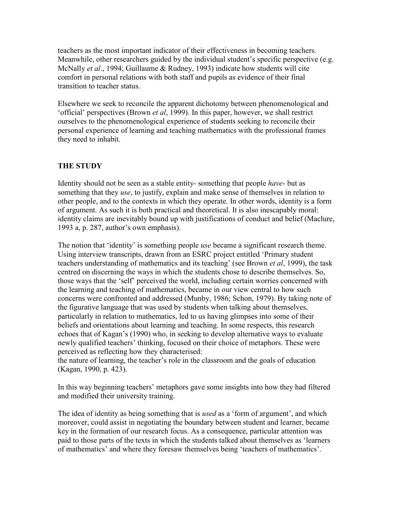teachers as the most important indicator of their effectiveness in becoming teachers. Meanwhile, other researchers guided by the individual student's specific perspective (e.g. McNally *et al*., 1994; Guillaume & Rudney, 1993) indicate how students will cite comfort in personal relations with both staff and pupils as evidence of their final transition to teacher status.

Elsewhere we seek to reconcile the apparent dichotomy between phenomenological and 'official' perspectives (Brown *et al*, 1999). In this paper, however, we shall restrict ourselves to the phenomenological experience of students seeking to reconcile their personal experience of learning and teaching mathematics with the professional frames they need to inhabit.

## **THE STUDY**

Identity should not be seen as a stable entity- something that people *have*- but as something that they *use*, to justify, explain and make sense of themselves in relation to other people, and to the contexts in which they operate. In other words, identity is a form of argument. As such it is both practical and theoretical. It is also inescapably moral: identity claims are inevitably bound up with justifications of conduct and belief (Maclure, 1993 a, p. 287, author's own emphasis).

The notion that 'identity' is something people *use* became a significant research theme. Using interview transcripts, drawn from an ESRC project entitled 'Primary student teachers understanding of mathematics and its teaching' (see Brown *et al*, 1999), the task centred on discerning the ways in which the students chose to describe themselves. So, those ways that the 'self' perceived the world, including certain worries concerned with the learning and teaching of mathematics, became in our view central to how such concerns were confronted and addressed (Munby, 1986; Schon, 1979). By taking note of the figurative language that was used by students when talking about themselves, particularly in relation to mathematics, led to us having glimpses into some of their beliefs and orientations about learning and teaching. In some respects, this research echoes that of Kagan's (1990) who, in seeking to develop alternative ways to evaluate newly qualified teachers' thinking, focused on their choice of metaphors. These were perceived as reflecting how they characterised:

the nature of learning, the teacher's role in the classroom and the goals of education (Kagan, 1990, p. 423).

In this way beginning teachers' metaphors gave some insights into how they had filtered and modified their university training.

The idea of identity as being something that is *used* as a 'form of argument', and which moreover, could assist in negotiating the boundary between student and learner, became key in the formation of our research focus. As a consequence, particular attention was paid to those parts of the texts in which the students talked about themselves as 'learners of mathematics' and where they foresaw themselves being 'teachers of mathematics'.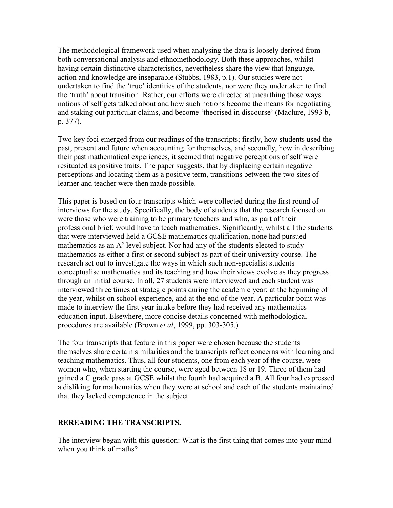The methodological framework used when analysing the data is loosely derived from both conversational analysis and ethnomethodology. Both these approaches, whilst having certain distinctive characteristics, nevertheless share the view that language, action and knowledge are inseparable (Stubbs, 1983, p.1). Our studies were not undertaken to find the 'true' identities of the students, nor were they undertaken to find the 'truth' about transition. Rather, our efforts were directed at unearthing those ways notions of self gets talked about and how such notions become the means for negotiating and staking out particular claims, and become 'theorised in discourse' (Maclure, 1993 b, p. 377).

Two key foci emerged from our readings of the transcripts; firstly, how students used the past, present and future when accounting for themselves, and secondly, how in describing their past mathematical experiences, it seemed that negative perceptions of self were resituated as positive traits. The paper suggests, that by displacing certain negative perceptions and locating them as a positive term, transitions between the two sites of learner and teacher were then made possible.

This paper is based on four transcripts which were collected during the first round of interviews for the study. Specifically, the body of students that the research focused on were those who were training to be primary teachers and who, as part of their professional brief, would have to teach mathematics. Significantly, whilst all the students that were interviewed held a GCSE mathematics qualification, none had pursued mathematics as an A' level subject. Nor had any of the students elected to study mathematics as either a first or second subject as part of their university course. The research set out to investigate the ways in which such non-specialist students conceptualise mathematics and its teaching and how their views evolve as they progress through an initial course. In all, 27 students were interviewed and each student was interviewed three times at strategic points during the academic year; at the beginning of the year, whilst on school experience, and at the end of the year. A particular point was made to interview the first year intake before they had received any mathematics education input. Elsewhere, more concise details concerned with methodological procedures are available (Brown *et al*, 1999, pp. 303-305.)

The four transcripts that feature in this paper were chosen because the students themselves share certain similarities and the transcripts reflect concerns with learning and teaching mathematics. Thus, all four students, one from each year of the course, were women who, when starting the course, were aged between 18 or 19. Three of them had gained a C grade pass at GCSE whilst the fourth had acquired a B. All four had expressed a disliking for mathematics when they were at school and each of the students maintained that they lacked competence in the subject.

## **REREADING THE TRANSCRIPTS.**

The interview began with this question: What is the first thing that comes into your mind when you think of maths?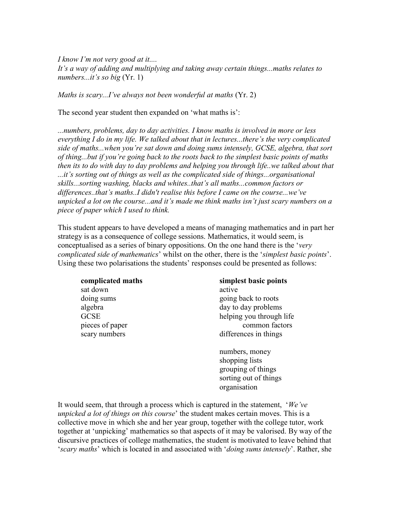*I know I'm not very good at it.... It's a way of adding and multiplying and taking away certain things...maths relates to numbers...it's so big* (Yr. 1)

*Maths is scary...I've always not been wonderful at maths* (Yr. 2)

The second year student then expanded on 'what maths is':

*...numbers, problems, day to day activities. I know maths is involved in more or less everything I do in my life. We talked about that in lectures...there's the very complicated side of maths...when you're sat down and doing sums intensely, GCSE, algebra, that sort of thing...but if you're going back to the roots back to the simplest basic points of maths then its to do with day to day problems and helping you through life..we talked about that ...it's sorting out of things as well as the complicated side of things...organisational skills...sorting washing, blacks and whites..that's all maths...common factors or differences..that's maths..I didn't realise this before I came on the course...we've unpicked a lot on the course...and it's made me think maths isn't just scary numbers on a piece of paper which I used to think.*

This student appears to have developed a means of managing mathematics and in part her strategy is as a consequence of college sessions. Mathematics, it would seem, is conceptualised as a series of binary oppositions. On the one hand there is the '*very complicated side of mathematics*' whilst on the other, there is the '*simplest basic points*'. Using these two polarisations the students' responses could be presented as follows:

| complicated maths | simplest basic points    |
|-------------------|--------------------------|
| sat down          | active                   |
| doing sums        | going back to roots      |
| algebra           | day to day problems      |
| <b>GCSE</b>       | helping you through life |
| pieces of paper   | common factors           |
| scary numbers     | differences in things    |
|                   |                          |
|                   | numbers, money           |

shopping lists grouping of things sorting out of things organisation

It would seem, that through a process which is captured in the statement, '*We've unpicked a lot of things on this course*' the student makes certain moves. This is a collective move in which she and her year group, together with the college tutor, work together at 'unpicking' mathematics so that aspects of it may be valorised. By way of the discursive practices of college mathematics, the student is motivated to leave behind that '*scary maths*' which is located in and associated with '*doing sums intensely*'. Rather, she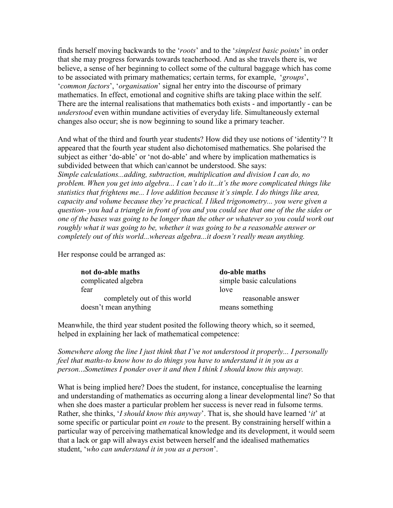finds herself moving backwards to the '*roots*' and to the '*simplest basic points*' in order that she may progress forwards towards teacherhood. And as she travels there is, we believe, a sense of her beginning to collect some of the cultural baggage which has come to be associated with primary mathematics; certain terms, for example, '*groups*', '*common factors*', '*organisation*' signal her entry into the discourse of primary mathematics. In effect, emotional and cognitive shifts are taking place within the self. There are the internal realisations that mathematics both exists - and importantly - can be *understood* even within mundane activities of everyday life. Simultaneously external changes also occur; she is now beginning to sound like a primary teacher.

And what of the third and fourth year students? How did they use notions of 'identity'? It appeared that the fourth year student also dichotomised mathematics. She polarised the subject as either 'do-able' or 'not do-able' and where by implication mathematics is subdivided between that which can\cannot be understood. She says: *Simple calculations...adding, subtraction, multiplication and division I can do, no problem. When you get into algebra... I can't do it...it's the more complicated things like statistics that frightens me... I love addition because it's simple. I do things like area, capacity and volume because they're practical. I liked trigonometry... you were given a question- you had a triangle in front of you and you could see that one of the the sides or one of the bases was going to be longer than the other or whatever so you could work out roughly what it was going to be, whether it was going to be a reasonable answer or completely out of this world...whereas algebra...it doesn't really mean anything.*

Her response could be arranged as:

| not do-able maths            | do-able maths             |
|------------------------------|---------------------------|
| complicated algebra          | simple basic calculations |
| fear                         | love                      |
| completely out of this world | reasonable answer         |
| doesn't mean anything        | means something           |

Meanwhile, the third year student posited the following theory which, so it seemed, helped in explaining her lack of mathematical competence:

*Somewhere along the line I just think that I've not understood it properly... I personally feel that maths-to know how to do things you have to understand it in you as a person.*..*Sometimes I ponder over it and then I think I should know this anyway.*

What is being implied here? Does the student, for instance, conceptualise the learning and understanding of mathematics as occurring along a linear developmental line? So that when she does master a particular problem her success is never read in fulsome terms. Rather, she thinks, '*I should know this anyway*'. That is, she should have learned '*it*' at some specific or particular point *en route* to the present. By constraining herself within a particular way of perceiving mathematical knowledge and its development, it would seem that a lack or gap will always exist between herself and the idealised mathematics student, '*who can understand it in you as a person*'.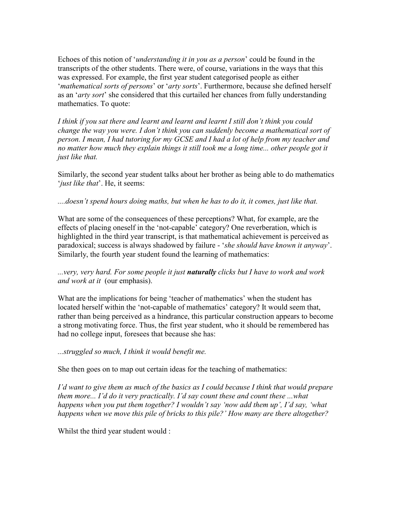Echoes of this notion of '*understanding it in you as a person*' could be found in the transcripts of the other students. There were, of course, variations in the ways that this was expressed. For example, the first year student categorised people as either '*mathematical sorts of persons*' or '*arty sorts*'. Furthermore, because she defined herself as an '*arty sort*' she considered that this curtailed her chances from fully understanding mathematics. To quote:

*I think if you sat there and learnt and learnt and learnt I still don't think you could change the way you were. I don't think you can suddenly become a mathematical sort of person. I mean, I had tutoring for my GCSE and I had a lot of help from my teacher and*  no matter how much they explain things it still took me a long time... other people got it *just like that.*

Similarly, the second year student talks about her brother as being able to do mathematics '*just like that*'. He, it seems:

#### *....doesn't spend hours doing maths, but when he has to do it, it comes, just like that.*

What are some of the consequences of these perceptions? What, for example, are the effects of placing oneself in the 'not-capable' category? One reverberation, which is highlighted in the third year transcript, is that mathematical achievement is perceived as paradoxical; success is always shadowed by failure - '*she should have known it anyway*'. Similarly, the fourth year student found the learning of mathematics:

### *...very, very hard. For some people it just naturally clicks but I have to work and work and work at it* (our emphasis).

What are the implications for being 'teacher of mathematics' when the student has located herself within the 'not-capable of mathematics' category? It would seem that, rather than being perceived as a hindrance, this particular construction appears to become a strong motivating force. Thus, the first year student, who it should be remembered has had no college input, foresees that because she has:

#### *...struggled so much, I think it would benefit me.*

She then goes on to map out certain ideas for the teaching of mathematics:

*I'd want to give them as much of the basics as I could because I think that would prepare them more... I'd do it very practically. I'd say count these and count these ...what happens when you put them together? I wouldn't say 'now add them up', I'd say, 'what happens when we move this pile of bricks to this pile?' How many are there altogether?*

Whilst the third year student would :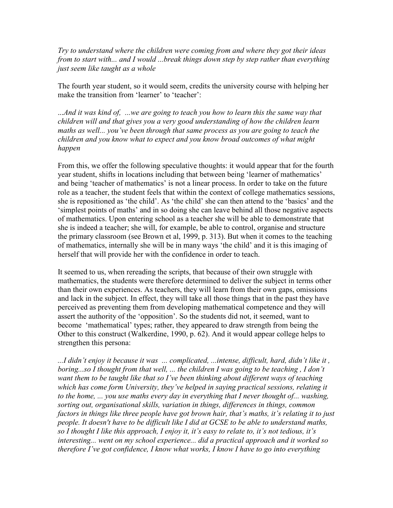*Try to understand where the children were coming from and where they got their ideas from to start with... and I would ...break things down step by step rather than everything just seem like taught as a whole* 

The fourth year student, so it would seem, credits the university course with helping her make the transition from 'learner' to 'teacher':

...*And it was kind of, ...we are going to teach you how to learn this the same way that children will and that gives you a very good understanding of how the children learn maths as well... you've been through that same process as you are going to teach the children and you know what to expect and you know broad outcomes of what might happen*

From this, we offer the following speculative thoughts: it would appear that for the fourth year student, shifts in locations including that between being 'learner of mathematics' and being 'teacher of mathematics' is not a linear process. In order to take on the future role as a teacher, the student feels that within the context of college mathematics sessions, she is repositioned as 'the child'. As 'the child' she can then attend to the 'basics' and the 'simplest points of maths' and in so doing she can leave behind all those negative aspects of mathematics. Upon entering school as a teacher she will be able to demonstrate that she is indeed a teacher; she will, for example, be able to control, organise and structure the primary classroom (see Brown et al, 1999, p. 313). But when it comes to the teaching of mathematics, internally she will be in many ways 'the child' and it is this imaging of herself that will provide her with the confidence in order to teach.

It seemed to us, when rereading the scripts, that because of their own struggle with mathematics, the students were therefore determined to deliver the subject in terms other than their own experiences. As teachers, they will learn from their own gaps, omissions and lack in the subject. In effect, they will take all those things that in the past they have perceived as preventing them from developing mathematical competence and they will assert the authority of the 'opposition'. So the students did not, it seemed, want to become 'mathematical' types; rather, they appeared to draw strength from being the Other to this construct (Walkerdine, 1990, p. 62). And it would appear college helps to strengthen this persona:

*...I didn't enjoy it because it was ... complicated, ...intense, difficult, hard, didn't like it , boring...so I thought from that well, ... the children I was going to be teaching , I don't want them to be taught like that so I've been thinking about different ways of teaching which has come form University, they've helped in saying practical sessions, relating it to the home, ... you use maths every day in everything that I never thought of... washing, sorting out, organisational skills, variation in things, differences in things, common factors in things like three people have got brown hair, that's maths, it's relating it to just people. It doesn't have to be difficult like I did at GCSE to be able to understand maths, so I thought I like this approach, I enjoy it, it's easy to relate to, it's not tedious, it's interesting... went on my school experience... did a practical approach and it worked so therefore I've got confidence, I know what works, I know I have to go into everything*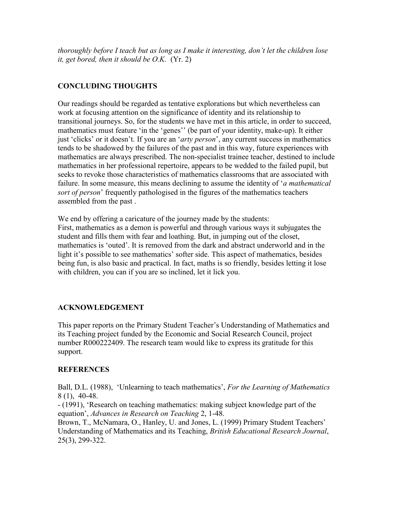*thoroughly before I teach but as long as I make it interesting, don't let the children lose it, get bored, then it should be O.K.* (Yr. 2)

# **CONCLUDING THOUGHTS**

Our readings should be regarded as tentative explorations but which nevertheless can work at focusing attention on the significance of identity and its relationship to transitional journeys. So, for the students we have met in this article, in order to succeed, mathematics must feature 'in the 'genes'' (be part of your identity, make-up). It either just 'clicks' or it doesn't. If you are an '*arty person*', any current success in mathematics tends to be shadowed by the failures of the past and in this way, future experiences with mathematics are always prescribed. The non-specialist trainee teacher, destined to include mathematics in her professional repertoire, appears to be wedded to the failed pupil, but seeks to revoke those characteristics of mathematics classrooms that are associated with failure. In some measure, this means declining to assume the identity of '*a mathematical sort of person*' frequently pathologised in the figures of the mathematics teachers assembled from the past .

We end by offering a caricature of the journey made by the students: First, mathematics as a demon is powerful and through various ways it subjugates the student and fills them with fear and loathing. But, in jumping out of the closet, mathematics is 'outed'. It is removed from the dark and abstract underworld and in the light it's possible to see mathematics' softer side. This aspect of mathematics, besides being fun, is also basic and practical. In fact, maths is so friendly, besides letting it lose with children, you can if you are so inclined, let it lick you.

## **ACKNOWLEDGEMENT**

This paper reports on the Primary Student Teacher's Understanding of Mathematics and its Teaching project funded by the Economic and Social Research Council, project number R000222409. The research team would like to express its gratitude for this support.

## **REFERENCES**

Ball, D.L. (1988), 'Unlearning to teach mathematics', *For the Learning of Mathematics* 8 (1), 40-48.

- (1991), 'Research on teaching mathematics: making subject knowledge part of the equation', *Advances in Research on Teaching* 2, 1-48.

Brown, T., McNamara, O., Hanley, U. and Jones, L. (1999) Primary Student Teachers' Understanding of Mathematics and its Teaching, *British Educational Research Journal*, 25(3), 299-322.